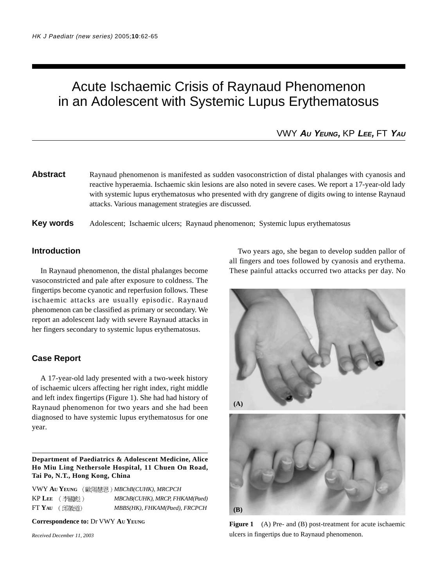# Acute Ischaemic Crisis of Raynaud Phenomenon in an Adolescent with Systemic Lupus Erythematosus

VWY **AU YEUNG,** KP **LEE,** FT **YAU**

**Abstract** Raynaud phenomenon is manifested as sudden vasoconstriction of distal phalanges with cyanosis and reactive hyperaemia. Ischaemic skin lesions are also noted in severe cases. We report a 17-year-old lady with systemic lupus erythematosus who presented with dry gangrene of digits owing to intense Raynaud attacks. Various management strategies are discussed.

**Key words** Adolescent; Ischaemic ulcers; Raynaud phenomenon; Systemic lupus erythematosus

### **Introduction**

In Raynaud phenomenon, the distal phalanges become vasoconstricted and pale after exposure to coldness. The fingertips become cyanotic and reperfusion follows. These ischaemic attacks are usually episodic. Raynaud phenomenon can be classified as primary or secondary. We report an adolescent lady with severe Raynaud attacks in her fingers secondary to systemic lupus erythematosus.

#### **Case Report**

A 17-year-old lady presented with a two-week history of ischaemic ulcers affecting her right index, right middle and left index fingertips (Figure 1). She had had history of Raynaud phenomenon for two years and she had been diagnosed to have systemic lupus erythematosus for one year.

**Department of Paediatrics & Adolescent Medicine, Alice Ho Miu Ling Nethersole Hospital, 11 Chuen On Road, Tai Po, N.T., Hong Kong, China**

VWY **AU YEUNG** *MBChB(CUHK), MRCPCH* KP LEE (李國彪) MBChB(CUHK), MRCP, FHKAM(Paed) FT **YAU** *MBBS(HK), FHKAM(Paed), FRCPCH*

**Correspondence to:** Dr VWY **AU YEUNG**

*Received December 11, 2003*

Two years ago, she began to develop sudden pallor of all fingers and toes followed by cyanosis and erythema. These painful attacks occurred two attacks per day. No



Figure 1 (A) Pre- and (B) post-treatment for acute ischaemic ulcers in fingertips due to Raynaud phenomenon.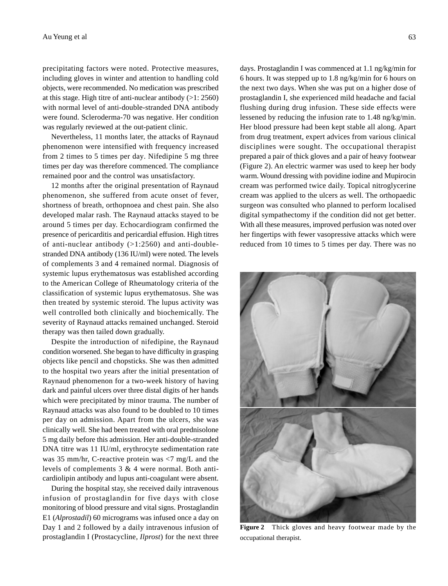precipitating factors were noted. Protective measures, including gloves in winter and attention to handling cold objects, were recommended. No medication was prescribed at this stage. High titre of anti-nuclear antibody (>1: 2560) with normal level of anti-double-stranded DNA antibody were found. Scleroderma-70 was negative. Her condition was regularly reviewed at the out-patient clinic.

Nevertheless, 11 months later, the attacks of Raynaud phenomenon were intensified with frequency increased from 2 times to 5 times per day. Nifedipine 5 mg three times per day was therefore commenced. The compliance remained poor and the control was unsatisfactory.

12 months after the original presentation of Raynaud phenomenon, she suffered from acute onset of fever, shortness of breath, orthopnoea and chest pain. She also developed malar rash. The Raynaud attacks stayed to be around 5 times per day. Echocardiogram confirmed the presence of pericarditis and pericardial effusion. High titres of anti-nuclear antibody  $(>1:2560)$  and anti-doublestranded DNA antibody (136 IU/ml) were noted. The levels of complements 3 and 4 remained normal. Diagnosis of systemic lupus erythematosus was established according to the American College of Rheumatology criteria of the classification of systemic lupus erythematosus. She was then treated by systemic steroid. The lupus activity was well controlled both clinically and biochemically. The severity of Raynaud attacks remained unchanged. Steroid therapy was then tailed down gradually.

Despite the introduction of nifedipine, the Raynaud condition worsened. She began to have difficulty in grasping objects like pencil and chopsticks. She was then admitted to the hospital two years after the initial presentation of Raynaud phenomenon for a two-week history of having dark and painful ulcers over three distal digits of her hands which were precipitated by minor trauma. The number of Raynaud attacks was also found to be doubled to 10 times per day on admission. Apart from the ulcers, she was clinically well. She had been treated with oral prednisolone 5 mg daily before this admission. Her anti-double-stranded DNA titre was 11 IU/ml, erythrocyte sedimentation rate was 35 mm/hr, C-reactive protein was <7 mg/L and the levels of complements 3 & 4 were normal. Both anticardiolipin antibody and lupus anti-coagulant were absent.

During the hospital stay, she received daily intravenous infusion of prostaglandin for five days with close monitoring of blood pressure and vital signs. Prostaglandin E1 (*Alprostadil*) 60 micrograms was infused once a day on Day 1 and 2 followed by a daily intravenous infusion of prostaglandin I (Prostacycline, *Ilprost*) for the next three days. Prostaglandin I was commenced at 1.1 ng/kg/min for 6 hours. It was stepped up to 1.8 ng/kg/min for 6 hours on the next two days. When she was put on a higher dose of prostaglandin I, she experienced mild headache and facial flushing during drug infusion. These side effects were lessened by reducing the infusion rate to 1.48 ng/kg/min. Her blood pressure had been kept stable all along. Apart from drug treatment, expert advices from various clinical disciplines were sought. The occupational therapist prepared a pair of thick gloves and a pair of heavy footwear (Figure 2). An electric warmer was used to keep her body warm. Wound dressing with povidine iodine and Mupirocin cream was performed twice daily. Topical nitroglycerine cream was applied to the ulcers as well. The orthopaedic surgeon was consulted who planned to perform localised digital sympathectomy if the condition did not get better. With all these measures, improved perfusion was noted over her fingertips with fewer vasopressive attacks which were reduced from 10 times to 5 times per day. There was no



**Figure 2** Thick gloves and heavy footwear made by the occupational therapist.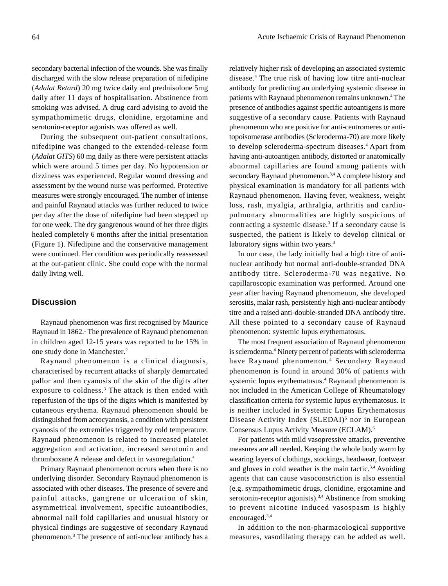secondary bacterial infection of the wounds. She was finally discharged with the slow release preparation of nifedipine (*Adalat Retard*) 20 mg twice daily and prednisolone 5mg daily after 11 days of hospitalisation. Abstinence from smoking was advised. A drug card advising to avoid the sympathomimetic drugs, clonidine, ergotamine and serotonin-receptor agonists was offered as well.

During the subsequent out-patient consultations, nifedipine was changed to the extended-release form (*Adalat GITS*) 60 mg daily as there were persistent attacks which were around 5 times per day. No hypotension or dizziness was experienced. Regular wound dressing and assessment by the wound nurse was performed. Protective measures were strongly encouraged. The number of intense and painful Raynaud attacks was further reduced to twice per day after the dose of nifedipine had been stepped up for one week. The dry gangrenous wound of her three digits healed completely 6 months after the initial presentation (Figure 1). Nifedipine and the conservative management were continued. Her condition was periodically reassessed at the out-patient clinic. She could cope with the normal daily living well.

## **Discussion**

Raynaud phenomenon was first recognised by Maurice Raynaud in 1862.<sup>1</sup> The prevalence of Raynaud phenomenon in children aged 12-15 years was reported to be 15% in one study done in Manchester.2

Raynaud phenomenon is a clinical diagnosis, characterised by recurrent attacks of sharply demarcated pallor and then cyanosis of the skin of the digits after exposure to coldness.<sup>3</sup> The attack is then ended with reperfusion of the tips of the digits which is manifested by cutaneous erythema. Raynaud phenomenon should be distinguished from acrocyanosis, a condition with persistent cyanosis of the extremities triggered by cold temperature. Raynaud phenomenon is related to increased platelet aggregation and activation, increased serotonin and thromboxane A release and defect in vasoregulation.4

Primary Raynaud phenomenon occurs when there is no underlying disorder. Secondary Raynaud phenomenon is associated with other diseases. The presence of severe and painful attacks, gangrene or ulceration of skin, asymmetrical involvement, specific autoantibodies, abnormal nail fold capillaries and unusual history or physical findings are suggestive of secondary Raynaud phenomenon.<sup>3</sup> The presence of anti-nuclear antibody has a

relatively higher risk of developing an associated systemic disease.4 The true risk of having low titre anti-nuclear antibody for predicting an underlying systemic disease in patients with Raynaud phenomenon remains unknown.<sup>4</sup> The presence of antibodies against specific autoantigens is more suggestive of a secondary cause. Patients with Raynaud phenomenon who are positive for anti-centromeres or antitopoisomerase antibodies (Scleroderma-70) are more likely to develop scleroderma-spectrum diseases.<sup>4</sup> Apart from having anti-autoantigen antibody, distorted or anatomically abnormal capillaries are found among patients with secondary Raynaud phenomenon.<sup>3,4</sup> A complete history and physical examination is mandatory for all patients with Raynaud phenomenon. Having fever, weakness, weight loss, rash, myalgia, arthralgia, arthritis and cardiopulmonary abnormalities are highly suspicious of contracting a systemic disease.<sup>3</sup> If a secondary cause is suspected, the patient is likely to develop clinical or laboratory signs within two years.<sup>3</sup>

In our case, the lady initially had a high titre of antinuclear antibody but normal anti-double-stranded DNA antibody titre. Scleroderma-70 was negative. No capillaroscopic examination was performed. Around one year after having Raynaud phenomenon, she developed serositis, malar rash, persistently high anti-nuclear antibody titre and a raised anti-double-stranded DNA antibody titre. All these pointed to a secondary cause of Raynaud phenomenon: systemic lupus erythematosus.

The most frequent association of Raynaud phenomenon is scleroderma.<sup>4</sup> Ninety percent of patients with scleroderma have Raynaud phenomenon.<sup>4</sup> Secondary Raynaud phenomenon is found in around 30% of patients with systemic lupus erythematosus.<sup>4</sup> Raynaud phenomenon is not included in the American College of Rheumatology classification criteria for systemic lupus erythematosus. It is neither included in Systemic Lupus Erythematosus Disease Activity Index (SLEDAI)<sup>5</sup> nor in European Consensus Lupus Activity Measure (ECLAM).6

For patients with mild vasopressive attacks, preventive measures are all needed. Keeping the whole body warm by wearing layers of clothings, stockings, headwear, footwear and gloves in cold weather is the main tactic. $3,4$  Avoiding agents that can cause vasoconstriction is also essential (e.g. sympathomimetic drugs, clonidine, ergotamine and serotonin-receptor agonists).<sup>3,4</sup> Abstinence from smoking to prevent nicotine induced vasospasm is highly encouraged.3,4

In addition to the non-pharmacological supportive measures, vasodilating therapy can be added as well.